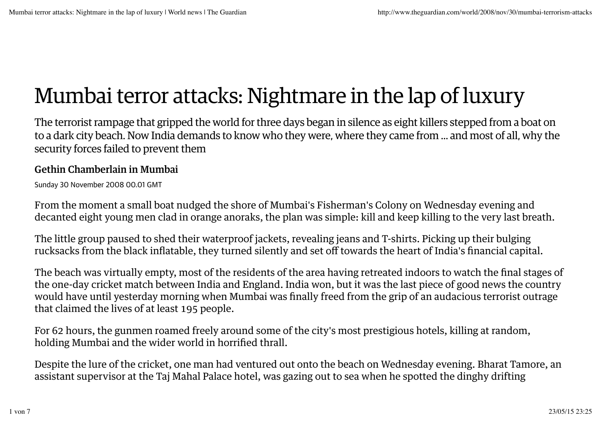## Mumbai terror attacks: Nightmare in the lap of luxury

The terrorist rampage that gripped the world for three days began in silence as eight killers stepped from a boat on to a dark city beach. Now India demands to know who they were, where they came from ... and most of all, why the security forces failed to prevent them

## Gethin Chamberlain in Mumbai

Sunday 30 November 2008 00.01 GMT

From the moment a small boat nudged the shore of Mumbai's Fisherman's Colony on Wednesday evening and decanted eight young men clad in orange anoraks, the plan was simple: kill and keep killing to the very last breath.

The little group paused to shed their waterproof jackets, revealing jeans and T-shirts. Picking up their bulging rucksacks from the black inflatable, they turned silently and set off towards the heart of India's financial capital.

The beach was virtually empty, most of the residents of the area having retreated indoors to watch the final stages of the one-day cricket match between India and England. India won, but it was the last piece of good news the country would have until yesterday morning when Mumbai was finally freed from the grip of an audacious terrorist outrage that claimed the lives of at least 195 people.

For 62 hours, the gunmen roamed freely around some of the city's most prestigious hotels, killing at random, holding Mumbai and the wider world in horrified thrall.

Despite the lure of the cricket, one man had ventured out onto the beach on Wednesday evening. Bharat Tamore, an assistant supervisor at the Taj Mahal Palace hotel, was gazing out to sea when he spotted the dinghy drifting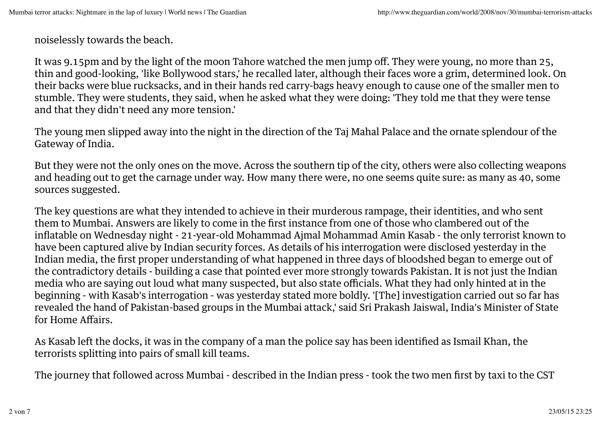noiselessly towards the beach.

It was 9.15pm and by the light of the moon Tahore watched the men jump off. They were young, no more than 25, thin and good-looking, 'like Bollywood stars,' he recalled later, although their faces wore a grim, determined look. On their backs were blue rucksacks, and in their hands red carry-bags heavy enough to cause one of the smaller men to stumble. They were students, they said, when he asked what they were doing: 'They told me that they were tense and that they didn't need any more tension.'

The young men slipped away into the night in the direction of the Taj Mahal Palace and the ornate splendour of the Gateway of India.

But they were not the only ones on the move. Across the southern tip of the city, others were also collecting weapons and heading out to get the carnage under way. How many there were, no one seems quite sure: as many as 40, some sources suggested.

The key questions are what they intended to achieve in their murderous rampage, their identities, and who sent them to Mumbai. Answers are likely to come in the first instance from one of those who clambered out of the inflatable on Wednesday night - 21-year-old Mohammad Ajmal Mohammad Amin Kasab - the only terrorist known to have been captured alive by Indian security forces. As details of his interrogation were disclosed yesterday in the Indian media, the first proper understanding of what happened in three days of bloodshed began to emerge out of the contradictory details - building a case that pointed ever more strongly towards Pakistan. It is not just the Indian media who are saying out loud what many suspected, but also state officials. What they had only hinted at in the beginning - with Kasab's interrogation - was yesterday stated more boldly. '[The] investigation carried out so far has revealed the hand of Pakistan-based groups in the Mumbai attack,' said Sri Prakash Jaiswal, India's Minister of State for Home Affairs.

As Kasab left the docks, it was in the company of a man the police say has been identified as Ismail Khan, the terrorists splitting into pairs of small kill teams.

The journey that followed across Mumbai - described in the Indian press - took the two men first by taxi to the CST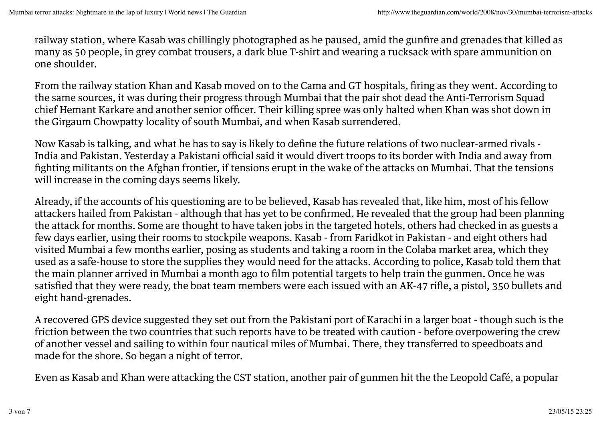railway station, where Kasab was chillingly photographed as he paused, amid the gunfire and grenades that killed as many as 50 people, in grey combat trousers, a dark blue T-shirt and wearing a rucksack with spare ammunition on one shoulder.

From the railway station Khan and Kasab moved on to the Cama and GT hospitals, firing as they went. According to the same sources, it was during their progress through Mumbai that the pair shot dead the Anti-Terrorism Squad chief Hemant Karkare and another senior officer. Their killing spree was only halted when Khan was shot down in the Girgaum Chowpatty locality of south Mumbai, and when Kasab surrendered.

Now Kasab is talking, and what he has to say is likely to define the future relations of two nuclear-armed rivals - India and Pakistan. Yesterday a Pakistani official said it would divert troops to its border with India and away from fighting militants on the Afghan frontier, if tensions erupt in the wake of the attacks on Mumbai. That the tensions will increase in the coming days seems likely.

Already, if the accounts of his questioning are to be believed, Kasab has revealed that, like him, most of his fellow attackers hailed from Pakistan - although that has yet to be confirmed. He revealed that the group had been planning the attack for months. Some are thought to have taken jobs in the targeted hotels, others had checked in as guests a few days earlier, using their rooms to stockpile weapons. Kasab - from Faridkot in Pakistan - and eight others had visited Mumbai a few months earlier, posing as students and taking a room in the Colaba market area, which they used as a safe-house to store the supplies they would need for the attacks. According to police, Kasab told them that the main planner arrived in Mumbai a month ago to film potential targets to help train the gunmen. Once he was satisfied that they were ready, the boat team members were each issued with an AK-47 rifle, a pistol, 350 bullets and eight hand-grenades.

A recovered GPS device suggested they set out from the Pakistani port of Karachi in a larger boat - though such is the friction between the two countries that such reports have to be treated with caution - before overpowering the crew of another vessel and sailing to within four nautical miles of Mumbai. There, they transferred to speedboats and made for the shore. So began a night of terror.

Even as Kasab and Khan were attacking the CST station, another pair of gunmen hit the the Leopold Café, a popular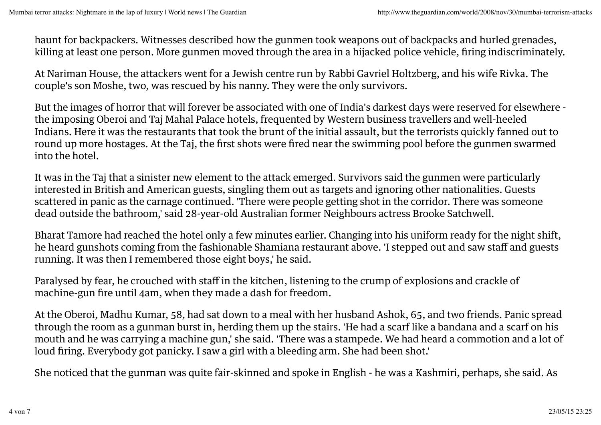haunt for backpackers. Witnesses described how the gunmen took weapons out of backpacks and hurled grenades, killing at least one person. More gunmen moved through the area in a hijacked police vehicle, firing indiscriminately.

At Nariman House, the attackers went for a Jewish centre run by Rabbi Gavriel Holtzberg, and his wife Rivka. The couple's son Moshe, two, was rescued by his nanny. They were the only survivors.

But the images of horror that will forever be associated with one of India's darkest days were reserved for elsewhere the imposing Oberoi and Taj Mahal Palace hotels, frequented by Western business travellers and well-heeled Indians. Here it was the restaurants that took the brunt of the initial assault, but the terrorists quickly fanned out to round up more hostages. At the Taj, the first shots were fired near the swimming pool before the gunmen swarmed into the hotel.

It was in the Taj that a sinister new element to the attack emerged. Survivors said the gunmen were particularly interested in British and American guests, singling them out as targets and ignoring other nationalities. Guests scattered in panic as the carnage continued. 'There were people getting shot in the corridor. There was someone dead outside the bathroom,' said 28-year-old Australian former Neighbours actress Brooke Satchwell.

Bharat Tamore had reached the hotel only a few minutes earlier. Changing into his uniform ready for the night shift, he heard gunshots coming from the fashionable Shamiana restaurant above. 'I stepped out and saw staff and guests running. It was then I remembered those eight boys,' he said.

Paralysed by fear, he crouched with staff in the kitchen, listening to the crump of explosions and crackle of machine-gun fire until 4am, when they made a dash for freedom.

At the Oberoi, Madhu Kumar, 58, had sat down to a meal with her husband Ashok, 65, and two friends. Panic spread through the room as a gunman burst in, herding them up the stairs. 'He had a scarf like a bandana and a scarf on his mouth and he was carrying a machine gun,' she said. 'There was a stampede. We had heard a commotion and a lot of loud firing. Everybody got panicky. I saw a girl with a bleeding arm. She had been shot.'

She noticed that the gunman was quite fair-skinned and spoke in English - he was a Kashmiri, perhaps, she said. As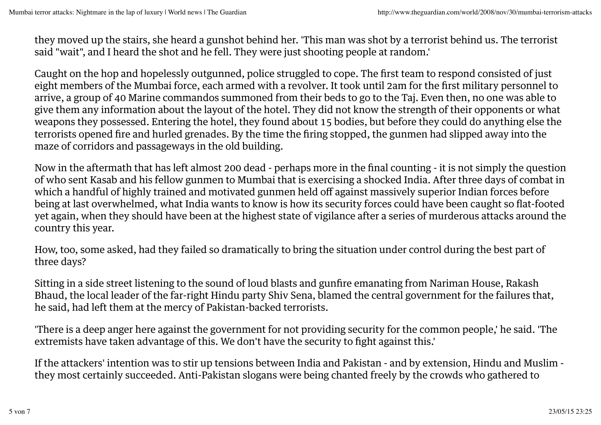they moved up the stairs, she heard a gunshot behind her. 'This man was shot by a terrorist behind us. The terrorist said "wait", and I heard the shot and he fell. They were just shooting people at random.'

Caught on the hop and hopelessly outgunned, police struggled to cope. The first team to respond consisted of just eight members of the Mumbai force, each armed with a revolver. It took until 2am for the first military personnel to arrive, a group of 40 Marine commandos summoned from their beds to go to the Taj. Even then, no one was able to give them any information about the layout of the hotel. They did not know the strength of their opponents or what weapons they possessed. Entering the hotel, they found about 15 bodies, but before they could do anything else the terrorists opened fire and hurled grenades. By the time the firing stopped, the gunmen had slipped away into the maze of corridors and passageways in the old building.

Now in the aftermath that has left almost 200 dead - perhaps more in the final counting - it is not simply the question of who sent Kasab and his fellow gunmen to Mumbai that is exercising a shocked India. After three days of combat in which a handful of highly trained and motivated gunmen held off against massively superior Indian forces before being at last overwhelmed, what India wants to know is how its security forces could have been caught so flat-footed yet again, when they should have been at the highest state of vigilance after a series of murderous attacks around the country this year.

How, too, some asked, had they failed so dramatically to bring the situation under control during the best part of three days?

Sitting in a side street listening to the sound of loud blasts and gunfire emanating from Nariman House, Rakash Bhaud, the local leader of the far-right Hindu party Shiv Sena, blamed the central government for the failures that, he said, had left them at the mercy of Pakistan-backed terrorists.

'There is a deep anger here against the government for not providing security for the common people,' he said. 'The extremists have taken advantage of this. We don't have the security to fight against this.'

If the attackers' intention was to stir up tensions between India and Pakistan - and by extension, Hindu and Muslim they most certainly succeeded. Anti-Pakistan slogans were being chanted freely by the crowds who gathered to